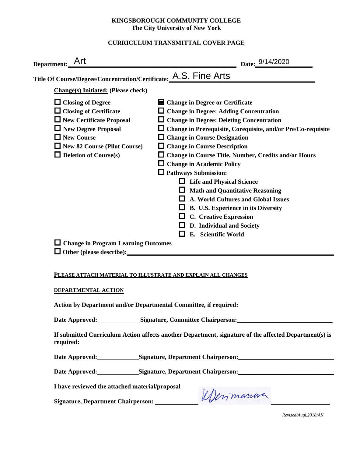### **KINGSBOROUGH COMMUNITY COLLEGE The City University of New York**

## **CURRICULUM TRANSMITTAL COVER PAGE**

| Title Of Course/Degree/Concentration/Certificate: A.S. Fine Arts |                                                                     |
|------------------------------------------------------------------|---------------------------------------------------------------------|
| <b>Change(s)</b> Initiated: (Please check)                       |                                                                     |
| $\Box$ Closing of Degree                                         | ■ Change in Degree or Certificate                                   |
| $\Box$ Closing of Certificate                                    | $\Box$ Change in Degree: Adding Concentration                       |
| $\Box$ New Certificate Proposal                                  | $\Box$ Change in Degree: Deleting Concentration                     |
| $\Box$ New Degree Proposal                                       | $\Box$ Change in Prerequisite, Corequisite, and/or Pre/Co-requisite |
| $\Box$ New Course                                                | <b>Change in Course Designation</b>                                 |
| $\Box$ New 82 Course (Pilot Course)                              | $\Box$ Change in Course Description                                 |
| $\Box$ Deletion of Course(s)                                     | □ Change in Course Title, Number, Credits and/or Hours              |
|                                                                  | $\Box$ Change in Academic Policy                                    |
|                                                                  | <b>Q</b> Pathways Submission:                                       |
|                                                                  | <b>Life and Physical Science</b>                                    |
|                                                                  | <b>Math and Quantitative Reasoning</b>                              |
|                                                                  | <b>A. World Cultures and Global Issues</b>                          |
|                                                                  | B. U.S. Experience in its Diversity                                 |
|                                                                  | C. Creative Expression                                              |
|                                                                  | D. Individual and Society                                           |
|                                                                  | E. Scientific World                                                 |
| $\Box$ Change in Program Learning Outcomes                       |                                                                     |

#### **PLEASE ATTACH MATERIAL TO ILLUSTRATE AND EXPLAIN ALL CHANGES**

#### **DEPARTMENTAL ACTION**

**Action by Department and/or Departmental Committee, if required:**

Date Approved: Signature, Committee Chairperson:

**If submitted Curriculum Action affects another Department, signature of the affected Department(s) is required:**

Date Approved: Signature, Department Chairperson:

Date Approved: Signature, Department Chairperson: <u>\_\_\_\_\_\_\_\_\_\_\_\_\_\_\_\_\_\_\_\_\_\_\_\_\_\_\_\_\_\_</u>

**I have reviewed the attached material/proposal**

**Signature, Department Chairperson: \_\_\_\_\_\_\_\_\_\_\_\_\_\_\_\_\_\_\_\_\_\_\_\_\_\_\_\_\_\_\_\_\_\_\_\_\_\_\_\_\_\_\_\_\_\_\_\_\_\_\_\_\_\_\_**

*Revised/Augl.2018/AK*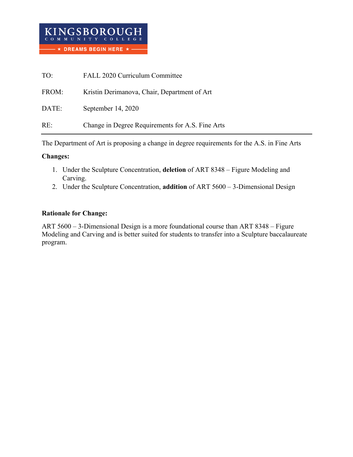| TO:   | FALL 2020 Curriculum Committee                   |
|-------|--------------------------------------------------|
| FROM: | Kristin Derimanova, Chair, Department of Art     |
| DATE: | September 14, 2020                               |
| RE:   | Change in Degree Requirements for A.S. Fine Arts |

The Department of Art is proposing a change in degree requirements for the A.S. in Fine Arts

## **Changes:**

- 1. Under the Sculpture Concentration, **deletion** of ART 8348 Figure Modeling and Carving.
- 2. Under the Sculpture Concentration, **addition** of ART 5600 3-Dimensional Design

## **Rationale for Change:**

ART 5600 – 3-Dimensional Design is a more foundational course than ART 8348 – Figure Modeling and Carving and is better suited for students to transfer into a Sculpture baccalaureate program.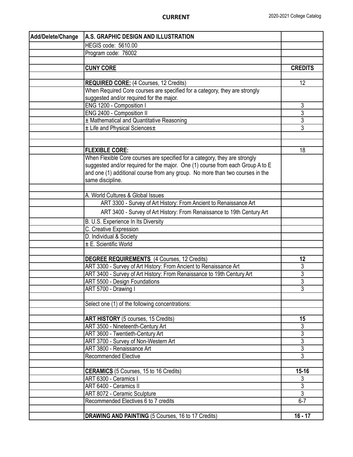| Add/Delete/Change | A.S. GRAPHIC DESIGN AND ILLUSTRATION                                           |                |
|-------------------|--------------------------------------------------------------------------------|----------------|
|                   | HEGIS code: 5610.00                                                            |                |
|                   | Program code: 76002                                                            |                |
|                   |                                                                                |                |
|                   | <b>CUNY CORE</b>                                                               | <b>CREDITS</b> |
|                   |                                                                                |                |
|                   | <b>REQUIRED CORE:</b> (4 Courses, 12 Credits)                                  | 12             |
|                   | When Required Core courses are specified for a category, they are strongly     |                |
|                   | suggested and/or required for the major.                                       |                |
|                   | ENG 1200 - Composition I                                                       | 3              |
|                   | ENG 2400 - Composition II                                                      | 3              |
|                   | ± Mathematical and Quantitative Reasoning                                      | $\overline{3}$ |
|                   | ± Life and Physical Sciences±                                                  | 3              |
|                   |                                                                                |                |
|                   |                                                                                |                |
|                   | <b>FLEXIBLE CORE:</b>                                                          | 18             |
|                   | When Flexible Core courses are specified for a category, they are strongly     |                |
|                   | suggested and/or required for the major. One (1) course from each Group A to E |                |
|                   | and one (1) additional course from any group. No more than two courses in the  |                |
|                   | same discipline.                                                               |                |
|                   | A. World Cultures & Global Issues                                              |                |
|                   | ART 3300 - Survey of Art History: From Ancient to Renaissance Art              |                |
|                   |                                                                                |                |
|                   | ART 3400 - Survey of Art History: From Renaissance to 19th Century Art         |                |
|                   | B. U.S. Experience In Its Diversity                                            |                |
|                   | C. Creative Expression                                                         |                |
|                   | D. Individual & Society                                                        |                |
|                   | ± E. Scientific World                                                          |                |
|                   |                                                                                |                |
|                   | <b>DEGREE REQUIREMENTS</b> (4 Courses, 12 Credits)                             | 12             |
|                   | ART 3300 - Survey of Art History: From Ancient to Renaissance Art              | 3              |
|                   | ART 3400 - Survey of Art History: From Renaissance to 19th Century Art         | 3              |
|                   | ART 5500 - Design Foundations<br>ART 5700 - Drawing I                          | 3<br>3         |
|                   |                                                                                |                |
|                   | Select one (1) of the following concentrations:                                |                |
|                   |                                                                                |                |
|                   | <b>ART HISTORY</b> (5 courses, 15 Credits)                                     | 15             |
|                   | ART 3500 - Nineteenth-Century Art                                              | 3              |
|                   | ART 3600 - Twentieth-Century Art                                               | $\overline{3}$ |
|                   | ART 3700 - Survey of Non-Western Art                                           | $\overline{3}$ |
|                   | ART 3800 - Renaissance Art                                                     | $\overline{3}$ |
|                   | <b>Recommended Elective</b>                                                    | $\overline{3}$ |
|                   |                                                                                |                |
|                   | <b>CERAMICS</b> (5 Courses, 15 to 16 Credits)                                  | $15 - 16$      |
|                   | ART 6300 - Ceramics I                                                          | 3              |
|                   | ART 6400 - Ceramics II                                                         | $\overline{3}$ |
|                   | ART 8072 - Ceramic Sculpture                                                   | $\overline{3}$ |
|                   | Recommended Electives 6 to 7 credits                                           | $6-7$          |
|                   |                                                                                |                |
|                   | DRAWING AND PAINTING (5 Courses, 16 to 17 Credits)                             | $16 - 17$      |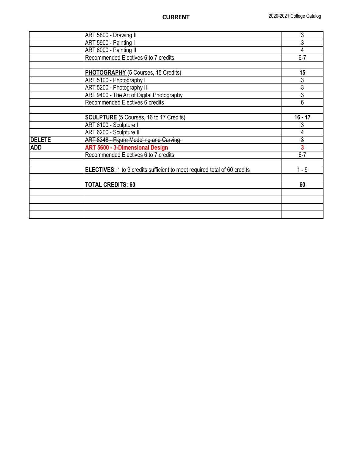|                                                                                                                                                                                                                                                                                                                                                                                                                                                                                                                                                                                                                                                           | ART 5800 - Drawing II | 3                       |
|-----------------------------------------------------------------------------------------------------------------------------------------------------------------------------------------------------------------------------------------------------------------------------------------------------------------------------------------------------------------------------------------------------------------------------------------------------------------------------------------------------------------------------------------------------------------------------------------------------------------------------------------------------------|-----------------------|-------------------------|
| ART 5900 - Painting I<br>ART 6000 - Painting II<br>Recommended Electives 6 to 7 credits<br>PHOTOGRAPHY (5 Courses, 15 Credits)<br>ART 5100 - Photography I<br>ART 5200 - Photography II<br>ART 9400 - The Art of Digital Photography<br>Recommended Electives 6 credits<br><b>SCULPTURE</b> (5 Courses, 16 to 17 Credits)<br>ART 6100 - Sculpture I<br>ART 6200 - Sculpture II<br><b>DELETE</b><br>ART 8348 - Figure Modeling and Carving<br><b>ART 5600 - 3-Dimensional Design</b><br><b>ADD</b><br>Recommended Electives 6 to 7 credits<br><b>ELECTIVES:</b> 1 to 9 credits sufficient to meet required total of 60 credits<br><b>TOTAL CREDITS: 60</b> |                       | 3                       |
|                                                                                                                                                                                                                                                                                                                                                                                                                                                                                                                                                                                                                                                           | 4                     |                         |
|                                                                                                                                                                                                                                                                                                                                                                                                                                                                                                                                                                                                                                                           |                       | $6 - 7$                 |
|                                                                                                                                                                                                                                                                                                                                                                                                                                                                                                                                                                                                                                                           |                       |                         |
|                                                                                                                                                                                                                                                                                                                                                                                                                                                                                                                                                                                                                                                           |                       | 15                      |
|                                                                                                                                                                                                                                                                                                                                                                                                                                                                                                                                                                                                                                                           |                       | 3                       |
|                                                                                                                                                                                                                                                                                                                                                                                                                                                                                                                                                                                                                                                           |                       | 3                       |
|                                                                                                                                                                                                                                                                                                                                                                                                                                                                                                                                                                                                                                                           |                       | 3                       |
|                                                                                                                                                                                                                                                                                                                                                                                                                                                                                                                                                                                                                                                           |                       | 6                       |
|                                                                                                                                                                                                                                                                                                                                                                                                                                                                                                                                                                                                                                                           |                       |                         |
|                                                                                                                                                                                                                                                                                                                                                                                                                                                                                                                                                                                                                                                           |                       | $16 - 17$               |
|                                                                                                                                                                                                                                                                                                                                                                                                                                                                                                                                                                                                                                                           |                       | 3                       |
|                                                                                                                                                                                                                                                                                                                                                                                                                                                                                                                                                                                                                                                           |                       | 4                       |
|                                                                                                                                                                                                                                                                                                                                                                                                                                                                                                                                                                                                                                                           |                       | $\overline{3}$          |
|                                                                                                                                                                                                                                                                                                                                                                                                                                                                                                                                                                                                                                                           |                       | $\overline{\mathbf{3}}$ |
|                                                                                                                                                                                                                                                                                                                                                                                                                                                                                                                                                                                                                                                           |                       | $6 - 7$                 |
|                                                                                                                                                                                                                                                                                                                                                                                                                                                                                                                                                                                                                                                           |                       |                         |
|                                                                                                                                                                                                                                                                                                                                                                                                                                                                                                                                                                                                                                                           |                       | $1 - 9$                 |
|                                                                                                                                                                                                                                                                                                                                                                                                                                                                                                                                                                                                                                                           |                       |                         |
|                                                                                                                                                                                                                                                                                                                                                                                                                                                                                                                                                                                                                                                           |                       | 60                      |
|                                                                                                                                                                                                                                                                                                                                                                                                                                                                                                                                                                                                                                                           |                       |                         |
|                                                                                                                                                                                                                                                                                                                                                                                                                                                                                                                                                                                                                                                           |                       |                         |
|                                                                                                                                                                                                                                                                                                                                                                                                                                                                                                                                                                                                                                                           |                       |                         |
|                                                                                                                                                                                                                                                                                                                                                                                                                                                                                                                                                                                                                                                           |                       |                         |
|                                                                                                                                                                                                                                                                                                                                                                                                                                                                                                                                                                                                                                                           |                       |                         |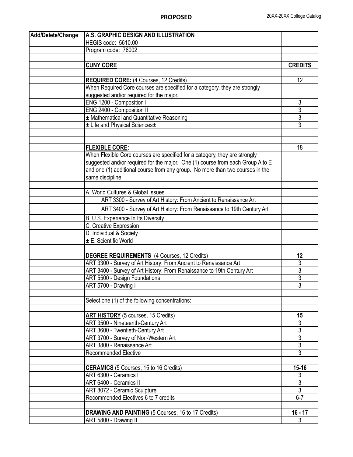| Add/Delete/Change | A.S. GRAPHIC DESIGN AND ILLUSTRATION                                           |                |
|-------------------|--------------------------------------------------------------------------------|----------------|
|                   | HEGIS code: 5610.00                                                            |                |
|                   | Program code: 76002                                                            |                |
|                   |                                                                                |                |
|                   | <b>CUNY CORE</b>                                                               | <b>CREDITS</b> |
|                   |                                                                                |                |
|                   | <b>REQUIRED CORE:</b> (4 Courses, 12 Credits)                                  | 12             |
|                   | When Required Core courses are specified for a category, they are strongly     |                |
|                   | suggested and/or required for the major.                                       |                |
|                   | ENG 1200 - Composition I                                                       | 3              |
|                   | ENG 2400 - Composition II                                                      | 3              |
|                   | ± Mathematical and Quantitative Reasoning                                      | 3              |
|                   | ± Life and Physical Sciences±                                                  | 3              |
|                   |                                                                                |                |
|                   |                                                                                |                |
|                   | <b>FLEXIBLE CORE:</b>                                                          | 18             |
|                   | When Flexible Core courses are specified for a category, they are strongly     |                |
|                   | suggested and/or required for the major. One (1) course from each Group A to E |                |
|                   | and one (1) additional course from any group. No more than two courses in the  |                |
|                   | same discipline.                                                               |                |
|                   |                                                                                |                |
|                   | A. World Cultures & Global Issues                                              |                |
|                   | ART 3300 - Survey of Art History: From Ancient to Renaissance Art              |                |
|                   | ART 3400 - Survey of Art History: From Renaissance to 19th Century Art         |                |
|                   | B. U.S. Experience In Its Diversity                                            |                |
|                   | C. Creative Expression                                                         |                |
|                   | D. Individual & Society                                                        |                |
|                   | ± E. Scientific World                                                          |                |
|                   |                                                                                |                |
|                   | <b>DEGREE REQUIREMENTS</b> (4 Courses, 12 Credits)                             | 12             |
|                   | ART 3300 - Survey of Art History: From Ancient to Renaissance Art              | 3              |
|                   | ART 3400 - Survey of Art History: From Renaissance to 19th Century Art         | 3              |
|                   | <b>ART 5500 - Design Foundations</b>                                           | 3              |
|                   | ART 5700 - Drawing I                                                           | $\overline{3}$ |
|                   |                                                                                |                |
|                   | Select one (1) of the following concentrations:                                |                |
|                   |                                                                                |                |
|                   | <b>ART HISTORY</b> (5 courses, 15 Credits)                                     | 15             |
|                   | ART 3500 - Nineteenth-Century Art                                              | 3              |
|                   | ART 3600 - Twentieth-Century Art                                               | $\overline{3}$ |
|                   | ART 3700 - Survey of Non-Western Art                                           | $\overline{3}$ |
|                   | ART 3800 - Renaissance Art                                                     | $\overline{3}$ |
|                   | <b>Recommended Elective</b>                                                    | $\overline{3}$ |
|                   |                                                                                |                |
|                   | <b>CERAMICS</b> (5 Courses, 15 to 16 Credits)                                  | $15 - 16$      |
|                   | ART 6300 - Ceramics I                                                          | 3              |
|                   | ART 6400 - Ceramics II                                                         | $\overline{3}$ |
|                   | ART 8072 - Ceramic Sculpture                                                   | $\overline{3}$ |
|                   | Recommended Electives 6 to 7 credits                                           | $6 - 7$        |
|                   |                                                                                |                |
|                   | DRAWING AND PAINTING (5 Courses, 16 to 17 Credits)                             | $16 - 17$      |
|                   | ART 5800 - Drawing II                                                          | 3              |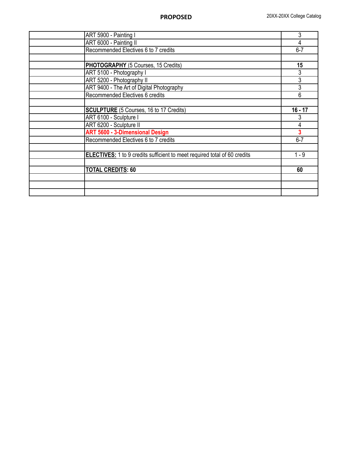| ART 5900 - Painting I                                                            | 3         |
|----------------------------------------------------------------------------------|-----------|
| ART 6000 - Painting II                                                           | 4         |
| Recommended Electives 6 to 7 credits                                             | $6 - 7$   |
|                                                                                  |           |
| PHOTOGRAPHY (5 Courses, 15 Credits)                                              | 15        |
| ART 5100 - Photography I                                                         | 3         |
| ART 5200 - Photography II                                                        | 3         |
| ART 9400 - The Art of Digital Photography                                        | 3         |
| Recommended Electives 6 credits                                                  | 6         |
|                                                                                  |           |
| <b>SCULPTURE</b> (5 Courses, 16 to 17 Credits)                                   | $16 - 17$ |
| ART 6100 - Sculpture I                                                           | 3         |
| ART 6200 - Sculpture II                                                          | 4         |
| <b>ART 5600 - 3-Dimensional Design</b>                                           | 3         |
| Recommended Electives 6 to 7 credits                                             | $6 - 7$   |
|                                                                                  |           |
| <b>ELECTIVES:</b> 1 to 9 credits sufficient to meet required total of 60 credits | $1 - 9$   |
|                                                                                  |           |
| <b>TOTAL CREDITS: 60</b>                                                         | 60        |
|                                                                                  |           |
|                                                                                  |           |
|                                                                                  |           |